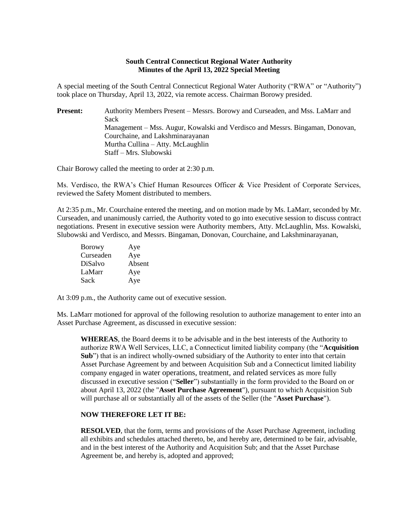## **South Central Connecticut Regional Water Authority Minutes of the April 13, 2022 Special Meeting**

A special meeting of the South Central Connecticut Regional Water Authority ("RWA" or "Authority") took place on Thursday, April 13, 2022, via remote access. Chairman Borowy presided.

**Present:** Authority Members Present – Messrs. Borowy and Curseaden, and Mss. LaMarr and Sack Management – Mss. Augur, Kowalski and Verdisco and Messrs. Bingaman, Donovan, Courchaine, and Lakshminarayanan Murtha Cullina – Atty. McLaughlin Staff – Mrs. Slubowski

Chair Borowy called the meeting to order at 2:30 p.m.

Ms. Verdisco, the RWA's Chief Human Resources Officer & Vice President of Corporate Services, reviewed the Safety Moment distributed to members.

At 2:35 p.m., Mr. Courchaine entered the meeting, and on motion made by Ms. LaMarr, seconded by Mr. Curseaden, and unanimously carried, the Authority voted to go into executive session to discuss contract negotiations. Present in executive session were Authority members, Atty. McLaughlin, Mss. Kowalski, Slubowski and Verdisco, and Messrs. Bingaman, Donovan, Courchaine, and Lakshminarayanan,

| <b>Borowy</b> | Aye    |
|---------------|--------|
| Curseaden     | Aye    |
| DiSalvo       | Absent |
| LaMarr        | Aye    |
| Sack          | Aye    |

At 3:09 p.m., the Authority came out of executive session.

Ms. LaMarr motioned for approval of the following resolution to authorize management to enter into an Asset Purchase Agreement, as discussed in executive session:

**WHEREAS**, the Board deems it to be advisable and in the best interests of the Authority to authorize RWA Well Services, LLC, a Connecticut limited liability company (the "**Acquisition Sub**") that is an indirect wholly-owned subsidiary of the Authority to enter into that certain Asset Purchase Agreement by and between Acquisition Sub and a Connecticut limited liability company engaged in water operations, treatment, and related services as more fully discussed in executive session ("**Seller**") substantially in the form provided to the Board on or about April 13, 2022 (the "**Asset Purchase Agreement**"), pursuant to which Acquisition Sub will purchase all or substantially all of the assets of the Seller (the "**Asset Purchase**").

## **NOW THEREFORE LET IT BE:**

**RESOLVED**, that the form, terms and provisions of the Asset Purchase Agreement, including all exhibits and schedules attached thereto, be, and hereby are, determined to be fair, advisable, and in the best interest of the Authority and Acquisition Sub; and that the Asset Purchase Agreement be, and hereby is, adopted and approved;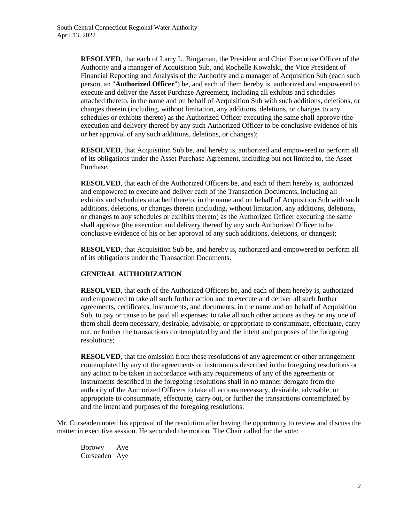**RESOLVED**, that each of Larry L. Bingaman, the President and Chief Executive Officer of the Authority and a manager of Acquisition Sub, and Rochelle Kowalski, the Vice President of Financial Reporting and Analysis of the Authority and a manager of Acquisition Sub (each such person, an "**Authorized Officer**") be, and each of them hereby is, authorized and empowered to execute and deliver the Asset Purchase Agreement, including all exhibits and schedules attached thereto, in the name and on behalf of Acquisition Sub with such additions, deletions, or changes therein (including, without limitation, any additions, deletions, or changes to any schedules or exhibits thereto) as the Authorized Officer executing the same shall approve (the execution and delivery thereof by any such Authorized Officer to be conclusive evidence of his or her approval of any such additions, deletions, or changes);

**RESOLVED**, that Acquisition Sub be, and hereby is, authorized and empowered to perform all of its obligations under the Asset Purchase Agreement, including but not limited to, the Asset Purchase;

**RESOLVED**, that each of the Authorized Officers be, and each of them hereby is, authorized and empowered to execute and deliver each of the Transaction Documents, including all exhibits and schedules attached thereto, in the name and on behalf of Acquisition Sub with such additions, deletions, or changes therein (including, without limitation, any additions, deletions, or changes to any schedules or exhibits thereto) as the Authorized Officer executing the same shall approve (the execution and delivery thereof by any such Authorized Officer to be conclusive evidence of his or her approval of any such additions, deletions, or changes);

**RESOLVED**, that Acquisition Sub be, and hereby is, authorized and empowered to perform all of its obligations under the Transaction Documents.

## **GENERAL AUTHORIZATION**

**RESOLVED**, that each of the Authorized Officers be, and each of them hereby is, authorized and empowered to take all such further action and to execute and deliver all such further agreements, certificates, instruments, and documents, in the name and on behalf of Acquisition Sub, to pay or cause to be paid all expenses; to take all such other actions as they or any one of them shall deem necessary, desirable, advisable, or appropriate to consummate, effectuate, carry out, or further the transactions contemplated by and the intent and purposes of the foregoing resolutions;

**RESOLVED**, that the omission from these resolutions of any agreement or other arrangement contemplated by any of the agreements or instruments described in the foregoing resolutions or any action to be taken in accordance with any requirements of any of the agreements or instruments described in the foregoing resolutions shall in no manner derogate from the authority of the Authorized Officers to take all actions necessary, desirable, advisable, or appropriate to consummate, effectuate, carry out, or further the transactions contemplated by and the intent and purposes of the foregoing resolutions.

Mr. Curseaden noted his approval of the resolution after having the opportunity to review and discuss the matter in executive session. He seconded the motion. The Chair called for the vote:

Borowy Aye Curseaden Aye